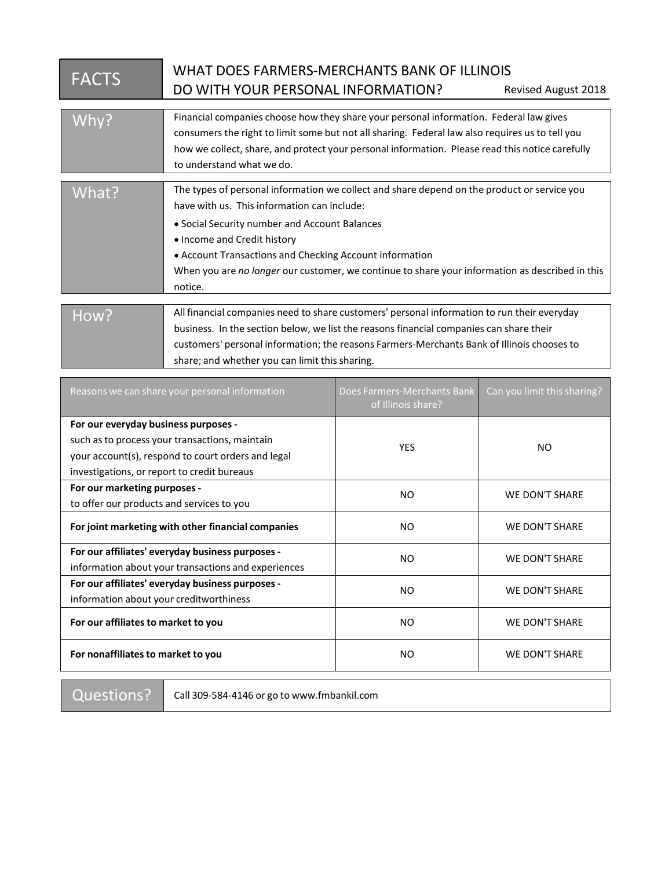| <b>FACTS</b> | WHAT DOES FARMERS-MERCHANTS BANK OF ILLINOIS                                                    |  |
|--------------|-------------------------------------------------------------------------------------------------|--|
|              | DO WITH YOUR PERSONAL INFORMATION?<br><b>Revised August 2018</b>                                |  |
|              |                                                                                                 |  |
| Why?         | Financial companies choose how they share your personal information. Federal law gives          |  |
|              | consumers the right to limit some but not all sharing. Federal law also requires us to tell you |  |
|              | how we collect, share, and protect your personal information. Please read this notice carefully |  |
|              | to understand what we do.                                                                       |  |
|              |                                                                                                 |  |
| What?        | The types of personal information we collect and share depend on the product or service you     |  |
|              | have with us. This information can include:                                                     |  |
|              | • Social Security number and Account Balances                                                   |  |
|              | • Income and Credit history                                                                     |  |
|              | • Account Transactions and Checking Account information                                         |  |
|              | When you are no longer our customer, we continue to share your information as described in this |  |
|              | notice.                                                                                         |  |
|              |                                                                                                 |  |
| How?         | All financial companies need to share customers' personal information to run their everyday     |  |
|              | business. In the section below, we list the reasons financial companies can share their         |  |
|              | customers' personal information; the reasons Farmers-Merchants Bank of Illinois chooses to      |  |
|              | share; and whether you can limit this sharing.                                                  |  |

| Reasons we can share your personal information                                                                                                                                              | Does Farmers-Merchants Bank<br>of Illinois share? | Can you limit this sharing? |
|---------------------------------------------------------------------------------------------------------------------------------------------------------------------------------------------|---------------------------------------------------|-----------------------------|
| For our everyday business purposes -<br>such as to process your transactions, maintain<br>your account(s), respond to court orders and legal<br>investigations, or report to credit bureaus | <b>YES</b>                                        | NO.                         |
| For our marketing purposes -<br>to offer our products and services to you                                                                                                                   | NO.                                               | <b>WE DON'T SHARE</b>       |
| For joint marketing with other financial companies                                                                                                                                          | NO                                                | <b>WE DON'T SHARE</b>       |
| For our affiliates' everyday business purposes -<br>information about your transactions and experiences                                                                                     | NO.                                               | <b>WE DON'T SHARE</b>       |
| For our affiliates' everyday business purposes -<br>information about your creditworthiness                                                                                                 | NO                                                | <b>WE DON'T SHARE</b>       |
| For our affiliates to market to you                                                                                                                                                         | NO                                                | <b>WE DON'T SHARE</b>       |
| For nonaffiliates to market to you                                                                                                                                                          | NO.                                               | <b>WE DON'T SHARE</b>       |

Questions? | Call 309-584-4146 or go to www.fmbankil.com